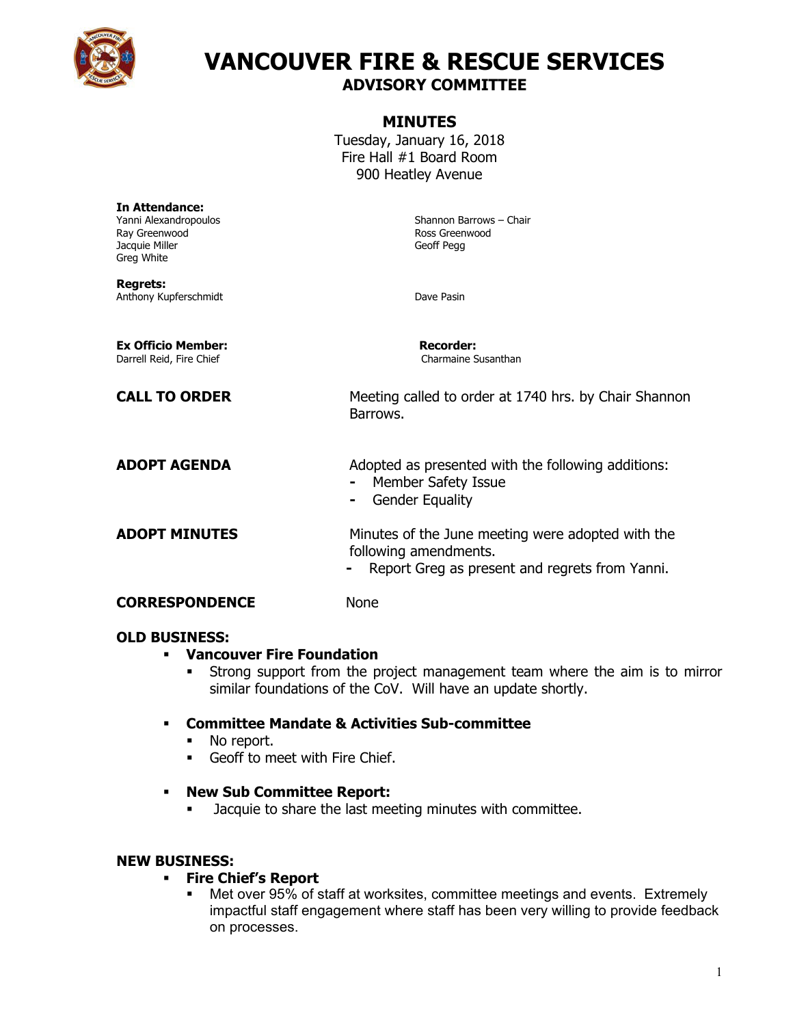

**In Attendance:**

# **VANCOUVER FIRE & RESCUE SERVICES ADVISORY COMMITTEE**

## **MINUTES**

Tuesday, January 16, 2018 Fire Hall #1 Board Room 900 Heatley Avenue

| Yanni Alexandropoulos<br>Ray Greenwood<br>Jacquie Miller<br>Greg White | Shannon Barrows - Chair<br>Ross Greenwood<br>Geoff Pegg                                                                      |
|------------------------------------------------------------------------|------------------------------------------------------------------------------------------------------------------------------|
| <b>Regrets:</b><br>Anthony Kupferschmidt                               | Dave Pasin                                                                                                                   |
| <b>Ex Officio Member:</b><br>Darrell Reid, Fire Chief                  | <b>Recorder:</b><br>Charmaine Susanthan                                                                                      |
| <b>CALL TO ORDER</b>                                                   | Meeting called to order at 1740 hrs. by Chair Shannon<br>Barrows.                                                            |
| <b>ADOPT AGENDA</b>                                                    | Adopted as presented with the following additions:<br>Member Safety Issue<br><b>Gender Equality</b><br>۰                     |
| <b>ADOPT MINUTES</b>                                                   | Minutes of the June meeting were adopted with the<br>following amendments.<br>Report Greg as present and regrets from Yanni. |
| <b>CORRESPONDENCE</b>                                                  | <b>None</b>                                                                                                                  |

#### **OLD BUSINESS:**

#### **Vancouver Fire Foundation**

 Strong support from the project management team where the aim is to mirror similar foundations of the CoV. Will have an update shortly.

#### **Committee Mandate & Activities Sub-committee**

- No report.
- Geoff to meet with Fire Chief.

#### **New Sub Committee Report:**

**Jacquie to share the last meeting minutes with committee.** 

#### **NEW BUSINESS:**

#### **Fire Chief's Report**

 Met over 95% of staff at worksites, committee meetings and events. Extremely impactful staff engagement where staff has been very willing to provide feedback on processes.